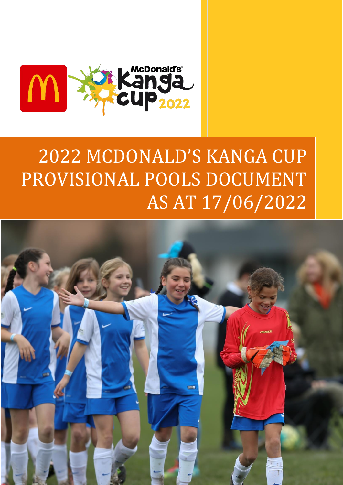

# 2022 MCDONALD'S KANGA CUP PROVISIONAL POOLS DOCUMENT AS AT 17/06/2022

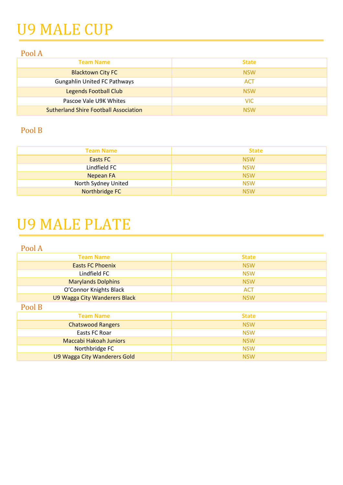## U9 MALE CUP

#### Pool A

| <b>Team Name</b>                             | <b>State</b> |
|----------------------------------------------|--------------|
| <b>Blacktown City FC</b>                     | <b>NSW</b>   |
| <b>Gungahlin United FC Pathways</b>          | <b>ACT</b>   |
| <b>Legends Football Club</b>                 | <b>NSW</b>   |
| Pascoe Vale U9K Whites                       | <b>VIC</b>   |
| <b>Sutherland Shire Football Association</b> | <b>NSW</b>   |

#### Pool B

| <b>Team Name</b>    | <b>State</b> |
|---------------------|--------------|
| Easts FC            | <b>NSW</b>   |
| Lindfield FC        | <b>NSW</b>   |
| Nepean FA           | <b>NSW</b>   |
| North Sydney United | <b>NSW</b>   |
| Northbridge FC      | <b>NSW</b>   |

### U9 MALE PLATE

Pool A

| <b>Team Name</b>              | <b>State</b> |
|-------------------------------|--------------|
| <b>Easts FC Phoenix</b>       | <b>NSW</b>   |
| Lindfield FC                  | <b>NSW</b>   |
| <b>Marylands Dolphins</b>     | <b>NSW</b>   |
| O'Connor Knights Black        | <b>ACT</b>   |
| U9 Wagga City Wanderers Black | <b>NSW</b>   |

Pool B

| <b>Team Name</b>              | <b>State</b> |
|-------------------------------|--------------|
| <b>Chatswood Rangers</b>      | <b>NSW</b>   |
| Easts FC Roar                 | <b>NSW</b>   |
| <b>Maccabi Hakoah Juniors</b> | <b>NSW</b>   |
| Northbridge FC                | <b>NSW</b>   |
| U9 Wagga City Wanderers Gold  | <b>NSW</b>   |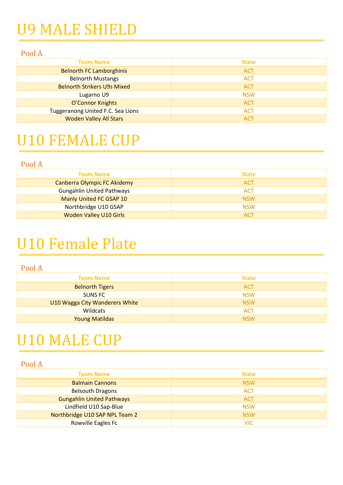## U9 MALE SHIELD

#### Pool A

| <b>Team Name</b>                   | <b>State</b> |
|------------------------------------|--------------|
| <b>Belnorth FC Lamborghinis</b>    | <b>ACT</b>   |
| <b>Belnorth Mustangs</b>           | <b>ACT</b>   |
| <b>Belnorth Strikers U9s Mixed</b> | <b>ACT</b>   |
| Lugarno U9                         | <b>NSW</b>   |
| O'Connor Knights                   | <b>ACT</b>   |
| Tuggeranong United F.C. Sea Lions  | <b>ACT</b>   |
| <b>Woden Valley All Stars</b>      | <b>ACT</b>   |

### U10 FEMALE CUP

#### Pool A

| <b>Team Name</b>                 | <b>State</b> |
|----------------------------------|--------------|
| Canberra Olympic FC Akidemy      | <b>ACT</b>   |
| <b>Gungahlin United Pathways</b> | <b>ACT</b>   |
| Manly United FC GSAP 10          | <b>NSW</b>   |
| Northbridge U10 GSAP             | <b>NSW</b>   |
| <b>Woden Valley U10 Girls</b>    | <b>ACT</b>   |

### U10 Female Plate

#### Pool A

| <b>Team Name</b>               | <b>State</b> |
|--------------------------------|--------------|
| <b>Belnorth Tigers</b>         | <b>ACT</b>   |
| SUNS FC                        | <b>NSW</b>   |
| U10 Wagga City Wanderers White | <b>NSW</b>   |
| Wildcats                       | <b>ACT</b>   |
| <b>Young Matildas</b>          | <b>NSW</b>   |

### U10 MALE CUP

| <b>Team Name</b>                 | <b>State</b> |
|----------------------------------|--------------|
| <b>Balmain Cannons</b>           | <b>NSW</b>   |
| <b>Belsouth Dragons</b>          | <b>ACT</b>   |
| <b>Gungahlin United Pathways</b> | <b>ACT</b>   |
| Lindfield U10 Sap-Blue           | <b>NSW</b>   |
| Northbridge U10 SAP NPL Team 2   | <b>NSW</b>   |
| Rowville Eagles Fc               | VIC          |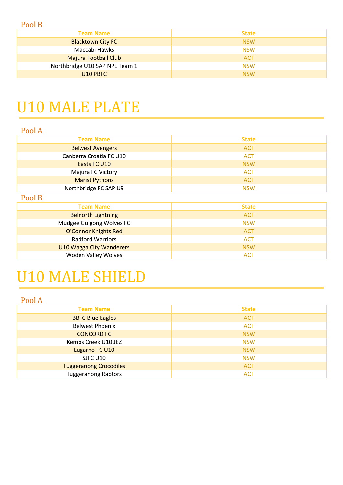| <b>Team Name</b>               | <b>State</b> |
|--------------------------------|--------------|
| <b>Blacktown City FC</b>       | <b>NSW</b>   |
| Maccabi Hawks                  | <b>NSW</b>   |
| <b>Majura Football Club</b>    | <b>ACT</b>   |
| Northbridge U10 SAP NPL Team 1 | <b>NSW</b>   |
| U10 PBFC                       | <b>NSW</b>   |

### U10 MALE PLATE

| <b>State</b> |
|--------------|
| <b>ACT</b>   |
| <b>ACT</b>   |
| <b>NSW</b>   |
| <b>ACT</b>   |
| <b>ACT</b>   |
| <b>NSW</b>   |
|              |

Pool B

| <b>Team Name</b>          | <b>State</b> |
|---------------------------|--------------|
| <b>Belnorth Lightning</b> | <b>ACT</b>   |
| Mudgee Gulgong Wolves FC  | <b>NSW</b>   |
| O'Connor Knights Red      | <b>ACT</b>   |
| <b>Radford Warriors</b>   | <b>ACT</b>   |
| U10 Wagga City Wanderers  | <b>NSW</b>   |
| Woden Valley Wolves       | <b>ACT</b>   |
|                           |              |

## U10 MALE SHIELD

| <b>Team Name</b>              | <b>State</b> |
|-------------------------------|--------------|
| <b>BBFC Blue Eagles</b>       | <b>ACT</b>   |
| <b>Belwest Phoenix</b>        | <b>ACT</b>   |
| <b>CONCORD FC</b>             | <b>NSW</b>   |
| Kemps Creek U10 JEZ           | <b>NSW</b>   |
| Lugarno FC U10                | <b>NSW</b>   |
| SJFC U10                      | <b>NSW</b>   |
| <b>Tuggeranong Crocodiles</b> | <b>ACT</b>   |
| <b>Tuggeranong Raptors</b>    | <b>ACT</b>   |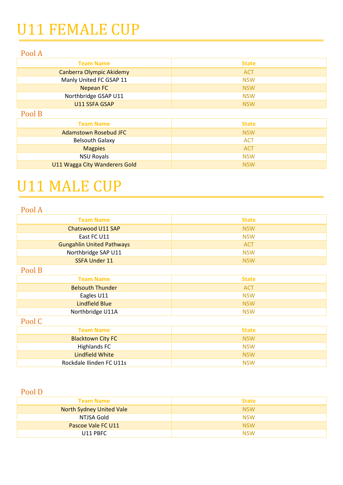## U11 FEMALE CUP

#### Pool A

| <b>Team Name</b>         | <b>State</b> |
|--------------------------|--------------|
| Canberra Olympic Akidemy | <b>ACT</b>   |
| Manly United FC GSAP 11  | <b>NSW</b>   |
| Nepean FC                | <b>NSW</b>   |
| Northbridge GSAP U11     | <b>NSW</b>   |
| U11 SSFA GSAP            | <b>NSW</b>   |
|                          |              |

#### Pool B

| <b>Team Name</b>              | <b>State</b> |
|-------------------------------|--------------|
| <b>Adamstown Rosebud JFC</b>  | <b>NSW</b>   |
| <b>Belsouth Galaxy</b>        | <b>ACT</b>   |
| <b>Magpies</b>                | <b>ACT</b>   |
| <b>NSU Royals</b>             | <b>NSW</b>   |
| U11 Wagga City Wanderers Gold | <b>NSW</b>   |

### U11 MALE CUP

#### Pool A

| <b>Team Name</b>                 | <b>State</b> |
|----------------------------------|--------------|
| Chatswood U11 SAP                | <b>NSW</b>   |
| East FC U11                      | <b>NSW</b>   |
| <b>Gungahlin United Pathways</b> | <b>ACT</b>   |
| Northbridge SAP U11              | <b>NSW</b>   |
| <b>SSFA Under 11</b>             | <b>NSW</b>   |
| $\mathbf{r}$ $\mathbf{r}$        |              |

#### Pool B

| <b>Team Name</b>        | <b>State</b> |
|-------------------------|--------------|
| <b>Belsouth Thunder</b> | ACT          |
| Eagles U11              | <b>NSW</b>   |
| Lindfield Blue          | <b>NSW</b>   |
| Northbridge U11A        | NSW          |

#### Pool C

| <b>Team Name</b>         | <b>State</b> |
|--------------------------|--------------|
| <b>Blacktown City FC</b> | <b>NSW</b>   |
| Highlands FC             | <b>NSW</b>   |
| Lindfield White          | <b>NSW</b>   |
| Rockdale Ilinden FC U11s | <b>NSW</b>   |

#### Pool D

| <b>Team Name</b>          | <b>State</b> |
|---------------------------|--------------|
| North Sydney United Vale  | <b>NSW</b>   |
| NTJSA Gold                | <b>NSW</b>   |
| <b>Pascoe Vale FC U11</b> | <b>NSW</b>   |
| U11 PBFC                  | <b>NSW</b>   |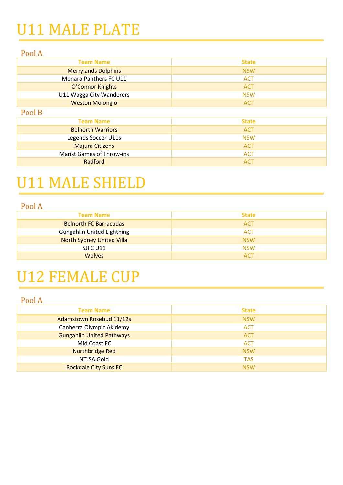## U11 MALE PLATE

#### Pool A

| <b>Team Name</b>                 | <b>State</b> |
|----------------------------------|--------------|
| <b>Merrylands Dolphins</b>       | <b>NSW</b>   |
| Monaro Panthers FC U11           | <b>ACT</b>   |
| O'Connor Knights                 | <b>ACT</b>   |
| U11 Wagga City Wanderers         | <b>NSW</b>   |
| <b>Weston Molonglo</b>           | <b>ACT</b>   |
| Pool B                           |              |
| <b>Team Name</b>                 | <b>State</b> |
| <b>Belnorth Warriors</b>         | <b>ACT</b>   |
| Legends Soccer U11s              | <b>NSW</b>   |
| <b>Majura Citizens</b>           | <b>ACT</b>   |
| <b>Marist Games of Throw-ins</b> | <b>ACT</b>   |

Radford ACT

### U11 MALE SHIELD

#### Pool A

| <b>Team Name</b>                  | <b>State</b> |
|-----------------------------------|--------------|
| <b>Belnorth FC Barracudas</b>     | <b>ACT</b>   |
| <b>Gungahlin United Lightning</b> | <b>ACT</b>   |
| <b>North Sydney United Villa</b>  | <b>NSW</b>   |
| SJFC U11                          | <b>NSW</b>   |
| <b>Wolves</b>                     | <b>ACT</b>   |

## U12 FEMALE CUP

| <b>Team Name</b>                 | <b>State</b> |
|----------------------------------|--------------|
| Adamstown Rosebud 11/12s         | <b>NSW</b>   |
| Canberra Olympic Akidemy         | <b>ACT</b>   |
| <b>Gungahlin United Pathways</b> | <b>ACT</b>   |
| Mid Coast FC                     | <b>ACT</b>   |
| Northbridge Red                  | <b>NSW</b>   |
| NTJSA Gold                       | <b>TAS</b>   |
| <b>Rockdale City Suns FC</b>     | <b>NSW</b>   |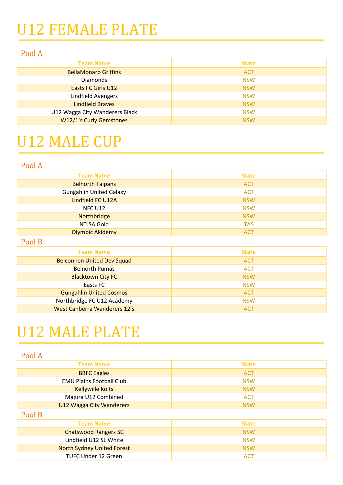## U12 FEMALE PLATE

#### Pool A

| <b>Team Name</b>               | <b>State</b> |
|--------------------------------|--------------|
| <b>BellaMonaro Griffins</b>    | <b>ACT</b>   |
| <b>Diamonds</b>                | <b>NSW</b>   |
| Easts FC Girls U12             | <b>NSW</b>   |
| Lindfield Avengers             | <b>NSW</b>   |
| <b>Lindfield Braves</b>        | <b>NSW</b>   |
| U12 Wagga City Wanderers Black | <b>NSW</b>   |
| W12/1's Curly Gemstones        | <b>NSW</b>   |

### U12 MALE CUP

#### Pool A

| <b>Team Name</b>               | <b>State</b> |
|--------------------------------|--------------|
| <b>Belnorth Taipans</b>        | <b>ACT</b>   |
| <b>Gungahlin United Galaxy</b> | <b>ACT</b>   |
| Lindfield FC U12A              | <b>NSW</b>   |
| NFC U12                        | <b>NSW</b>   |
| Northbridge                    | <b>NSW</b>   |
| NTJSA Gold                     | <b>TAS</b>   |
| <b>Olympic Akidemy</b>         | <b>ACT</b>   |

#### Pool B

| <b>Team Name</b>                  | <b>State</b> |
|-----------------------------------|--------------|
| <b>Belconnen United Dev Squad</b> | <b>ACT</b>   |
| <b>Belnorth Pumas</b>             | <b>ACT</b>   |
| <b>Blacktown City FC</b>          | <b>NSW</b>   |
| Easts FC                          | <b>NSW</b>   |
| <b>Gungahlin United Cosmos</b>    | <b>ACT</b>   |
| Northbridge FC U12 Academy        | <b>NSW</b>   |
| West Canberra Wanderers 12's      | <b>ACT</b>   |

### U12 MALE PLATE

| <b>Team Name</b>                  | <b>State</b> |
|-----------------------------------|--------------|
| <b>BBFC Eagles</b>                | <b>ACT</b>   |
| <b>EMU Plains Football Club</b>   | <b>NSW</b>   |
| <b>Kellywille Kolts</b>           | <b>NSW</b>   |
| Majura U12 Combined               | <b>ACT</b>   |
| <b>U12 Wagga City Wanderers</b>   | <b>NSW</b>   |
| Pool B                            |              |
| <b>Team Name</b>                  | <b>State</b> |
| <b>Chatswood Rangers SC</b>       | <b>NSW</b>   |
| Lindfield U12 SL White            | <b>NSW</b>   |
| <b>North Sydney United Forest</b> | <b>NSW</b>   |
| TUFC Under 12 Green               | <b>ACT</b>   |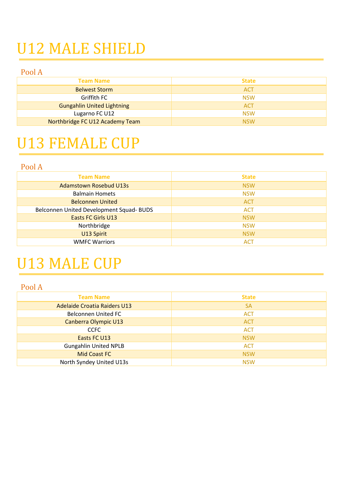## U12 MALE SHIELD

Pool A

| <b>Team Name</b>                  | <b>State</b> |
|-----------------------------------|--------------|
| <b>Belwest Storm</b>              | <b>ACT</b>   |
| Griffith FC                       | <b>NSW</b>   |
| <b>Gungahlin United Lightning</b> | <b>ACT</b>   |
| Lugarno FC U12                    | <b>NSW</b>   |
| Northbridge FC U12 Academy Team   | <b>NSW</b>   |

### U13 FEMALE CUP

#### Pool A

| <b>Team Name</b>                         | <b>State</b> |
|------------------------------------------|--------------|
| <b>Adamstown Rosebud U13s</b>            | <b>NSW</b>   |
| <b>Balmain Homets</b>                    | <b>NSW</b>   |
| <b>Belconnen United</b>                  | <b>ACT</b>   |
| Belconnen United Development Squad- BUDS | <b>ACT</b>   |
| Easts FC Girls U13                       | <b>NSW</b>   |
| Northbridge                              | <b>NSW</b>   |
| U13 Spirit                               | <b>NSW</b>   |
| <b>WMFC Warriors</b>                     | <b>ACT</b>   |

## U13 MALE CUP

| <b>Team Name</b>                    | <b>State</b> |
|-------------------------------------|--------------|
| <b>Adelaide Croatia Raiders U13</b> | <b>SA</b>    |
| <b>Belconnen United FC</b>          | <b>ACT</b>   |
| Canberra Olympic U13                | <b>ACT</b>   |
| <b>CCFC</b>                         | <b>ACT</b>   |
| Easts FC U13                        | <b>NSW</b>   |
| <b>Gungahlin United NPLB</b>        | <b>ACT</b>   |
| <b>Mid Coast FC</b>                 | <b>NSW</b>   |
| North Syndey United U13s            | <b>NSW</b>   |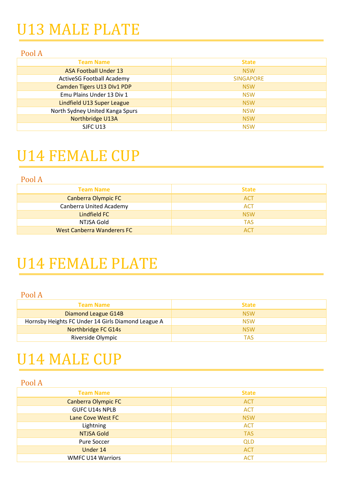## U13 MALE PLATE

#### Pool A

| <b>Team Name</b>                 | <b>State</b>     |
|----------------------------------|------------------|
| <b>ASA Football Under 13</b>     | <b>NSW</b>       |
| <b>ActiveSG Football Academy</b> | <b>SINGAPORE</b> |
| Camden Tigers U13 Dlv1 PDP       | <b>NSW</b>       |
| Emu Plains Under 13 Div 1        | <b>NSW</b>       |
| Lindfield U13 Super League       | <b>NSW</b>       |
| North Sydney United Kanga Spurs  | <b>NSW</b>       |
| Northbridge U13A                 | <b>NSW</b>       |
| SJFC U13                         | <b>NSW</b>       |

### U14 FEMALE CUP

Pool A

| <b>Team Name</b>                  | <b>State</b> |
|-----------------------------------|--------------|
| <b>Canberra Olympic FC</b>        | <b>ACT</b>   |
| <b>Canberra United Academy</b>    | <b>ACT</b>   |
| Lindfield FC                      | <b>NSW</b>   |
| NTJSA Gold                        | <b>TAS</b>   |
| <b>West Canberra Wanderers FC</b> | <b>ACT</b>   |

### U14 FEMALE PLATE

Pool A

| <b>Team Name</b>                                   | <b>State</b> |
|----------------------------------------------------|--------------|
| Diamond League G14B                                | <b>NSW</b>   |
| Hornsby Heights FC Under 14 Girls Diamond League A | <b>NSW</b>   |
| Northbridge FC G14s                                | <b>NSW</b>   |
| Riverside Olympic                                  | TAS          |

### U14 MALE CUP

| <b>Team Name</b>           | <b>State</b> |
|----------------------------|--------------|
| <b>Canberra Olympic FC</b> | <b>ACT</b>   |
| <b>GUFC U14s NPLB</b>      | <b>ACT</b>   |
| Lane Cove West FC          | <b>NSW</b>   |
| Lightning                  | <b>ACT</b>   |
| <b>NTJSA Gold</b>          | <b>TAS</b>   |
| Pure Soccer                | <b>QLD</b>   |
| Under 14                   | <b>ACT</b>   |
| <b>WMFC U14 Warriors</b>   | <b>ACT</b>   |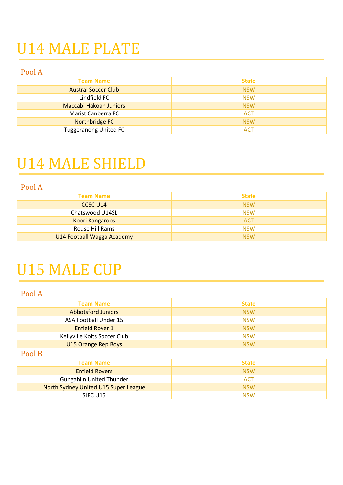## U14 MALE PLATE

Pool A

| <b>Team Name</b>              | <b>State</b> |
|-------------------------------|--------------|
| <b>Austral Soccer Club</b>    | <b>NSW</b>   |
| Lindfield FC                  | <b>NSW</b>   |
| <b>Maccabi Hakoah Juniors</b> | <b>NSW</b>   |
| Marist Canberra FC            | <b>ACT</b>   |
| Northbridge FC                | <b>NSW</b>   |
| <b>Tuggeranong United FC</b>  | <b>ACT</b>   |

### U14 MALE SHIELD

Pool A

| <b>Team Name</b>           | <b>State</b> |
|----------------------------|--------------|
| CCSC U14                   | <b>NSW</b>   |
| Chatswood U14SL            | <b>NSW</b>   |
| Koori Kangaroos            | <b>ACT</b>   |
| Rouse Hill Rams            | <b>NSW</b>   |
| U14 Football Wagga Academy | <b>NSW</b>   |

## U15 MALE CUP

| <b>Team Name</b>                     | <b>State</b> |
|--------------------------------------|--------------|
| <b>Abbotsford Juniors</b>            | <b>NSW</b>   |
| ASA Football Under 15                | <b>NSW</b>   |
| <b>Enfield Rover 1</b>               | <b>NSW</b>   |
| Kellyville Kolts Soccer Club         | <b>NSW</b>   |
| <b>U15 Orange Rep Boys</b>           | <b>NSW</b>   |
| Pool B                               |              |
| <b>Team Name</b>                     | <b>State</b> |
| <b>Enfield Rovers</b>                | <b>NSW</b>   |
| <b>Gungahlin United Thunder</b>      | <b>ACT</b>   |
| North Sydney United U15 Super League | <b>NSW</b>   |
| SJFC U15                             | <b>NSW</b>   |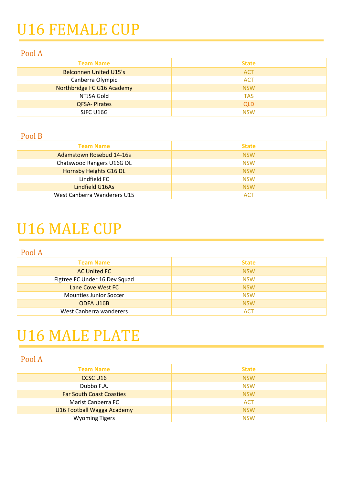## U16 FEMALE CUP

#### Pool A

| <b>Team Name</b>              | <b>State</b> |
|-------------------------------|--------------|
| <b>Belconnen United U15's</b> | <b>ACT</b>   |
| Canberra Olympic              | <b>ACT</b>   |
| Northbridge FC G16 Academy    | <b>NSW</b>   |
| NTJSA Gold                    | <b>TAS</b>   |
| <b>QFSA-Pirates</b>           | <b>QLD</b>   |
| SJFC U16G                     | <b>NSW</b>   |

#### Pool B

| <b>Team Name</b>                | <b>State</b> |
|---------------------------------|--------------|
| <b>Adamstown Rosebud 14-16s</b> | <b>NSW</b>   |
| Chatswood Rangers U16G DL       | <b>NSW</b>   |
| Hornsby Heights G16 DL          | <b>NSW</b>   |
| Lindfield FC                    | <b>NSW</b>   |
| Lindfield G16As                 | <b>NSW</b>   |
| West Canberra Wanderers U15     | <b>ACT</b>   |

### U16 MALE CUP

Pool A

| <b>Team Name</b>              | <b>State</b> |
|-------------------------------|--------------|
| <b>AC United FC</b>           | <b>NSW</b>   |
| Figtree FC Under 16 Dev Squad | <b>NSW</b>   |
| Lane Cove West FC             | <b>NSW</b>   |
| Mounties Junior Soccer        | <b>NSW</b>   |
| ODFA U16B                     | <b>NSW</b>   |
| West Canberra wanderers       | ACT          |

### U16 MALE PLATE

| <b>Team Name</b>                | <b>State</b> |
|---------------------------------|--------------|
| CCSC U16                        | <b>NSW</b>   |
| Dubbo F.A.                      | <b>NSW</b>   |
| <b>Far South Coast Coasties</b> | <b>NSW</b>   |
| Marist Canberra FC              | <b>ACT</b>   |
| U16 Football Wagga Academy      | <b>NSW</b>   |
| <b>Wyoming Tigers</b>           | <b>NSW</b>   |